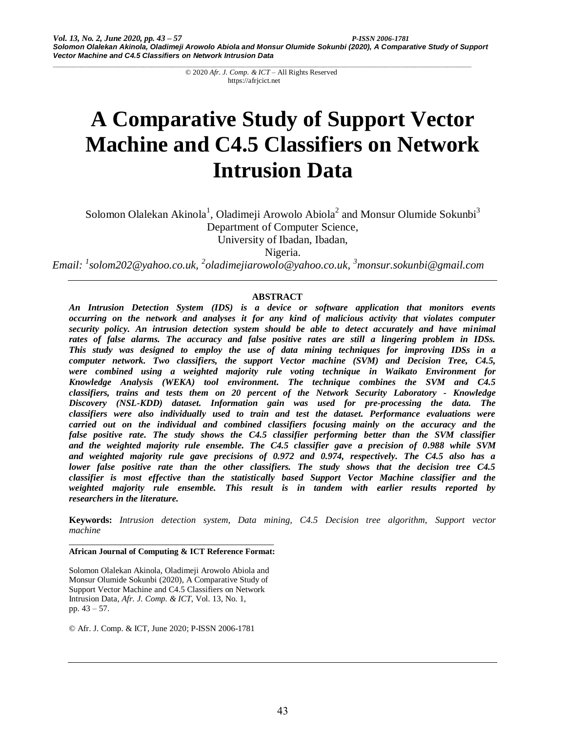# **A Comparative Study of Support Vector Machine and C4.5 Classifiers on Network Intrusion Data**

Solomon Olalekan Akinola<sup>1</sup>, Oladimeji Arowolo Abiola<sup>2</sup> and Monsur Olumide Sokunbi<sup>3</sup> Department of Computer Science, University of Ibadan, Ibadan,

Nigeria.

*Email: 1 solom202@yahoo.co.uk, <sup>2</sup> oladimejiarowolo@yahoo.co.uk, <sup>3</sup>monsur.sokunbi@gmail.com*

### **ABSTRACT**

*An Intrusion Detection System (IDS) is a device or software application that monitors events occurring on the network and analyses it for any kind of malicious activity that violates computer security policy. An intrusion detection system should be able to detect accurately and have minimal rates of false alarms. The accuracy and false positive rates are still a lingering problem in IDSs. This study was designed to employ the use of data mining techniques for improving IDSs in a computer network. Two classifiers, the support Vector machine (SVM) and Decision Tree, C4.5, were combined using a weighted majority rule voting technique in Waikato Environment for Knowledge Analysis (WEKA) tool environment. The technique combines the SVM and C4.5 classifiers, trains and tests them on 20 percent of the Network Security Laboratory - Knowledge Discovery (NSL-KDD) dataset. Information gain was used for pre-processing the data. The classifiers were also individually used to train and test the dataset. Performance evaluations were carried out on the individual and combined classifiers focusing mainly on the accuracy and the false positive rate. The study shows the C4.5 classifier performing better than the SVM classifier and the weighted majority rule ensemble. The C4.5 classifier gave a precision of 0.988 while SVM and weighted majority rule gave precisions of 0.972 and 0.974, respectively. The C4.5 also has a lower false positive rate than the other classifiers. The study shows that the decision tree C4.5 classifier is most effective than the statistically based Support Vector Machine classifier and the weighted majority rule ensemble. This result is in tandem with earlier results reported by researchers in the literature.*

**Keywords:** *Intrusion detection system, Data mining, C4.5 Decision tree algorithm, Support vector machine*

#### *\_\_\_\_\_\_\_\_\_\_\_\_\_\_\_\_\_\_\_\_\_\_\_\_\_\_\_\_\_\_\_\_\_\_\_\_\_\_\_\_\_\_\_\_* **African Journal of Computing & ICT Reference Format:**

Solomon Olalekan Akinola, Oladimeji Arowolo Abiola and Monsur Olumide Sokunbi (2020), A Comparative Study of Support Vector Machine and C4.5 Classifiers on Network Intrusion Data, *Afr. J. Comp. & ICT*, Vol. 13, No. 1, pp. 43 – 57.

© Afr. J. Comp. & ICT, June 2020; P-ISSN 2006-1781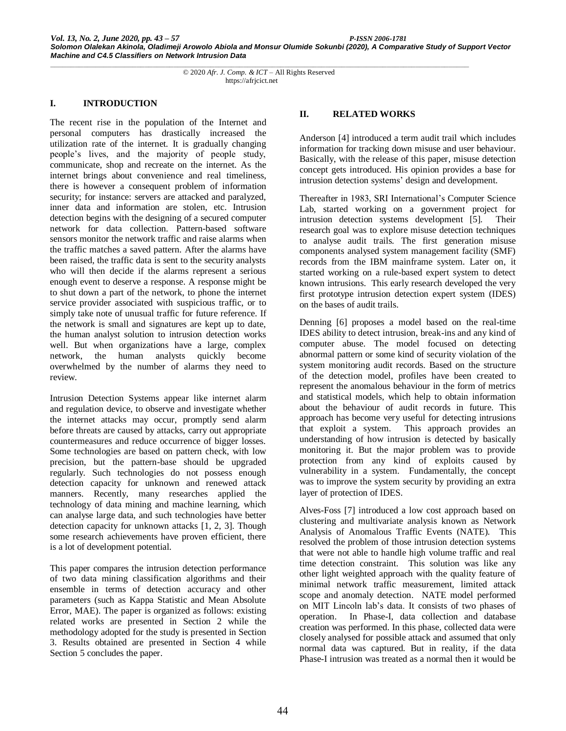#### **I. INTRODUCTION**

The recent rise in the population of the Internet and personal computers has drastically increased the utilization rate of the internet. It is gradually changing people's lives, and the majority of people study, communicate, shop and recreate on the internet. As the internet brings about convenience and real timeliness, there is however a consequent problem of information security; for instance: servers are attacked and paralyzed, inner data and information are stolen, etc. Intrusion detection begins with the designing of a secured computer network for data collection. Pattern-based software sensors monitor the network traffic and raise alarms when the traffic matches a saved pattern. After the alarms have been raised, the traffic data is sent to the security analysts who will then decide if the alarms represent a serious enough event to deserve a response. A response might be to shut down a part of the network, to phone the internet service provider associated with suspicious traffic, or to simply take note of unusual traffic for future reference. If the network is small and signatures are kept up to date, the human analyst solution to intrusion detection works well. But when organizations have a large, complex network, the human analysts quickly become overwhelmed by the number of alarms they need to review.

Intrusion Detection Systems appear like internet alarm and regulation device, to observe and investigate whether the internet attacks may occur, promptly send alarm before threats are caused by attacks, carry out appropriate countermeasures and reduce occurrence of bigger losses. Some technologies are based on pattern check, with low precision, but the pattern-base should be upgraded regularly. Such technologies do not possess enough detection capacity for unknown and renewed attack manners. Recently, many researches applied the technology of data mining and machine learning, which can analyse large data, and such technologies have better detection capacity for unknown attacks [1, 2, 3]. Though some research achievements have proven efficient, there is a lot of development potential.

This paper compares the intrusion detection performance of two data mining classification algorithms and their ensemble in terms of detection accuracy and other parameters (such as Kappa Statistic and Mean Absolute Error, MAE). The paper is organized as follows: existing related works are presented in Section 2 while the methodology adopted for the study is presented in Section 3. Results obtained are presented in Section 4 while Section 5 concludes the paper.

#### **II. RELATED WORKS**

Anderson [4] introduced a term audit trail which includes information for tracking down misuse and user behaviour. Basically, with the release of this paper, misuse detection concept gets introduced. His opinion provides a base for intrusion detection systems' design and development.

Thereafter in 1983, SRI International's Computer Science Lab, started working on a government project for intrusion detection systems development [5]. Their research goal was to explore misuse detection techniques to analyse audit trails. The first generation misuse components analysed system management facility (SMF) records from the IBM mainframe system. Later on, it started working on a rule-based expert system to detect known intrusions. This early research developed the very first prototype intrusion detection expert system (IDES) on the bases of audit trails.

Denning [6] proposes a model based on the real-time IDES ability to detect intrusion, break-ins and any kind of computer abuse. The model focused on detecting abnormal pattern or some kind of security violation of the system monitoring audit records. Based on the structure of the detection model, profiles have been created to represent the anomalous behaviour in the form of metrics and statistical models, which help to obtain information about the behaviour of audit records in future. This approach has become very useful for detecting intrusions that exploit a system. This approach provides an understanding of how intrusion is detected by basically monitoring it. But the major problem was to provide protection from any kind of exploits caused by vulnerability in a system. Fundamentally, the concept was to improve the system security by providing an extra layer of protection of IDES.

Alves-Foss [7] introduced a low cost approach based on clustering and multivariate analysis known as Network Analysis of Anomalous Traffic Events (NATE). This resolved the problem of those intrusion detection systems that were not able to handle high volume traffic and real time detection constraint. This solution was like any other light weighted approach with the quality feature of minimal network traffic measurement, limited attack scope and anomaly detection. NATE model performed on MIT Lincoln lab's data. It consists of two phases of operation. In Phase-I, data collection and database creation was performed. In this phase, collected data were closely analysed for possible attack and assumed that only normal data was captured. But in reality, if the data Phase-I intrusion was treated as a normal then it would be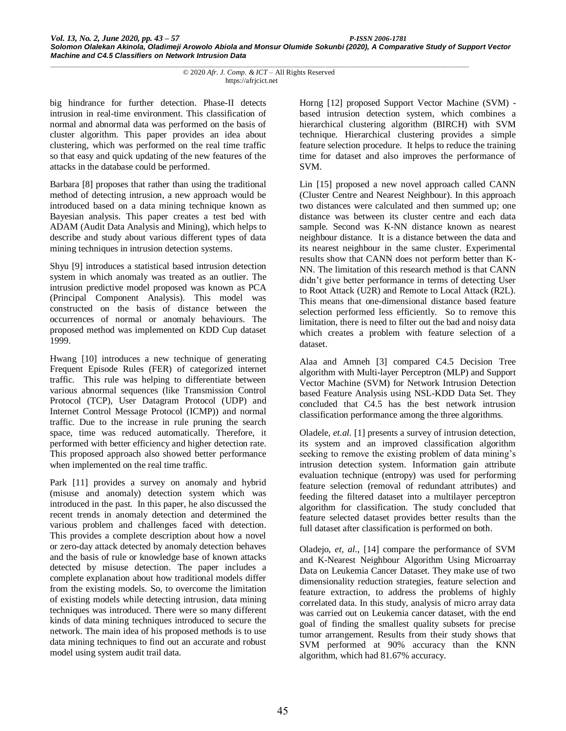big hindrance for further detection. Phase-II detects intrusion in real-time environment. This classification of normal and abnormal data was performed on the basis of cluster algorithm. This paper provides an idea about clustering, which was performed on the real time traffic so that easy and quick updating of the new features of the attacks in the database could be performed.

Barbara [8] proposes that rather than using the traditional method of detecting intrusion, a new approach would be introduced based on a data mining technique known as Bayesian analysis. This paper creates a test bed with ADAM (Audit Data Analysis and Mining), which helps to describe and study about various different types of data mining techniques in intrusion detection systems.

Shyu [9] introduces a statistical based intrusion detection system in which anomaly was treated as an outlier. The intrusion predictive model proposed was known as PCA (Principal Component Analysis). This model was constructed on the basis of distance between the occurrences of normal or anomaly behaviours. The proposed method was implemented on KDD Cup dataset 1999.

Hwang [10] introduces a new technique of generating Frequent Episode Rules (FER) of categorized internet traffic. This rule was helping to differentiate between various abnormal sequences (like Transmission Control Protocol (TCP), User Datagram Protocol (UDP) and Internet Control Message Protocol (ICMP)) and normal traffic. Due to the increase in rule pruning the search space, time was reduced automatically. Therefore, it performed with better efficiency and higher detection rate. This proposed approach also showed better performance when implemented on the real time traffic.

Park [11] provides a survey on anomaly and hybrid (misuse and anomaly) detection system which was introduced in the past. In this paper, he also discussed the recent trends in anomaly detection and determined the various problem and challenges faced with detection. This provides a complete description about how a novel or zero-day attack detected by anomaly detection behaves and the basis of rule or knowledge base of known attacks detected by misuse detection. The paper includes a complete explanation about how traditional models differ from the existing models. So, to overcome the limitation of existing models while detecting intrusion, data mining techniques was introduced. There were so many different kinds of data mining techniques introduced to secure the network. The main idea of his proposed methods is to use data mining techniques to find out an accurate and robust model using system audit trail data.

Horng [12] proposed Support Vector Machine (SVM) based intrusion detection system, which combines a hierarchical clustering algorithm (BIRCH) with SVM technique. Hierarchical clustering provides a simple feature selection procedure. It helps to reduce the training time for dataset and also improves the performance of SVM.

Lin [15] proposed a new novel approach called CANN (Cluster Centre and Nearest Neighbour). In this approach two distances were calculated and then summed up; one distance was between its cluster centre and each data sample. Second was K-NN distance known as nearest neighbour distance. It is a distance between the data and its nearest neighbour in the same cluster. Experimental results show that CANN does not perform better than K-NN. The limitation of this research method is that CANN didn't give better performance in terms of detecting User to Root Attack (U2R) and Remote to Local Attack (R2L). This means that one-dimensional distance based feature selection performed less efficiently. So to remove this limitation, there is need to filter out the bad and noisy data which creates a problem with feature selection of a dataset.

Alaa and Amneh [3] compared C4.5 Decision Tree algorithm with Multi-layer Perceptron (MLP) and Support Vector Machine (SVM) for Network Intrusion Detection based Feature Analysis using NSL-KDD Data Set. They concluded that C4.5 has the best network intrusion classification performance among the three algorithms.

Oladele, *et.al.* [1] presents a survey of intrusion detection, its system and an improved classification algorithm seeking to remove the existing problem of data mining's intrusion detection system. Information gain attribute evaluation technique (entropy) was used for performing feature selection (removal of redundant attributes) and feeding the filtered dataset into a multilayer perceptron algorithm for classification. The study concluded that feature selected dataset provides better results than the full dataset after classification is performed on both.

Oladejo, *et, al.,* [14] compare the performance of SVM and K-Nearest Neighbour Algorithm Using Microarray Data on Leukemia Cancer Dataset. They make use of two dimensionality reduction strategies, feature selection and feature extraction, to address the problems of highly correlated data. In this study, analysis of micro array data was carried out on Leukemia cancer dataset, with the end goal of finding the smallest quality subsets for precise tumor arrangement. Results from their study shows that SVM performed at 90% accuracy than the KNN algorithm, which had 81.67% accuracy.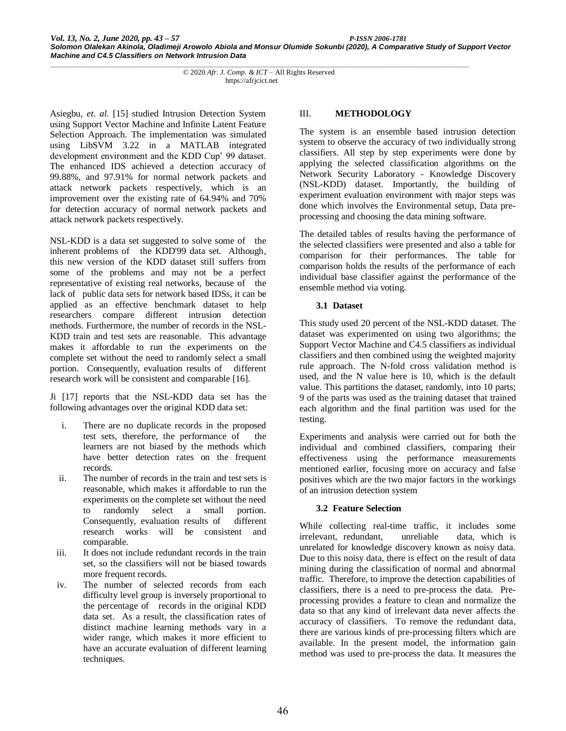Asiegbu, *et. al.* [15] studied Intrusion Detection System using Support Vector Machine and Infinite Latent Feature Selection Approach. The implementation was simulated using LibSVM 3.22 in a MATLAB integrated development environment and the KDD Cup' 99 dataset. The enhanced IDS achieved a detection accuracy of 99.88%, and 97.91% for normal network packets and attack network packets respectively, which is an improvement over the existing rate of 64.94% and 70% for detection accuracy of normal network packets and attack network packets respectively.

NSL-KDD is a data set suggested to solve some of the inherent problems of the KDD'99 data set. Although, this new version of the KDD dataset still suffers from some of the problems and may not be a perfect representative of existing real networks, because of the lack of public data sets for network based IDSs, it can be applied as an effective benchmark dataset to help researchers compare different intrusion detection methods. Furthermore, the number of records in the NSL-KDD train and test sets are reasonable. This advantage makes it affordable to run the experiments on the complete set without the need to randomly select a small portion. Consequently, evaluation results of different research work will be consistent and comparable [16].

Ji [17] reports that the NSL-KDD data set has the following advantages over the original KDD data set:

- i. There are no duplicate records in the proposed test sets, therefore, the performance of the learners are not biased by the methods which have better detection rates on the frequent records.
- ii. The number of records in the train and test sets is reasonable, which makes it affordable to run the experiments on the complete set without the need to randomly select a small portion. Consequently, evaluation results of different research works will be consistent and comparable.
- iii. It does not include redundant records in the train set, so the classifiers will not be biased towards more frequent records.
- iv. The number of selected records from each difficulty level group is inversely proportional to the percentage of records in the original KDD data set. As a result, the classification rates of distinct machine learning methods vary in a wider range, which makes it more efficient to have an accurate evaluation of different learning techniques.

## III. **METHODOLOGY**

The system is an ensemble based intrusion detection system to observe the accuracy of two individually strong classifiers. All step by step experiments were done by applying the selected classification algorithms on the Network Security Laboratory - Knowledge Discovery (NSL-KDD) dataset. Importantly, the building of experiment evaluation environment with major steps was done which involves the Environmental setup, Data preprocessing and choosing the data mining software.

The detailed tables of results having the performance of the selected classifiers were presented and also a table for comparison for their performances. The table for comparison holds the results of the performance of each individual base classifier against the performance of the ensemble method via voting.

#### **3.1 Dataset**

This study used 20 percent of the NSL-KDD dataset. The dataset was experimented on using two algorithms; the Support Vector Machine and C4.5 classifiers as individual classifiers and then combined using the weighted majority rule approach. The N-fold cross validation method is used, and the N value here is 10, which is the default value. This partitions the dataset, randomly, into 10 parts; 9 of the parts was used as the training dataset that trained each algorithm and the final partition was used for the testing.

Experiments and analysis were carried out for both the individual and combined classifiers, comparing their effectiveness using the performance measurements mentioned earlier, focusing more on accuracy and false positives which are the two major factors in the workings of an intrusion detection system

### **3.2 Feature Selection**

While collecting real-time traffic, it includes some irrelevant, redundant, unreliable data, which is unrelated for knowledge discovery known as noisy data. Due to this noisy data, there is effect on the result of data mining during the classification of normal and abnormal traffic. Therefore, to improve the detection capabilities of classifiers, there is a need to pre-process the data. Preprocessing provides a feature to clean and normalize the data so that any kind of irrelevant data never affects the accuracy of classifiers. To remove the redundant data, there are various kinds of pre-processing filters which are available. In the present model, the information gain method was used to pre-process the data. It measures the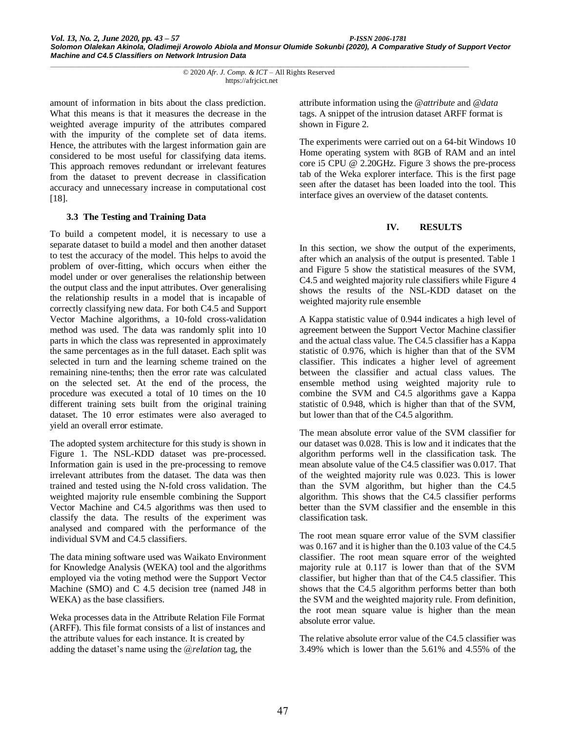amount of information in bits about the class prediction. What this means is that it measures the decrease in the weighted average impurity of the attributes compared with the impurity of the complete set of data items. Hence, the attributes with the largest information gain are considered to be most useful for classifying data items. This approach removes redundant or irrelevant features from the dataset to prevent decrease in classification accuracy and unnecessary increase in computational cost [18].

#### **3.3 The Testing and Training Data**

To build a competent model, it is necessary to use a separate dataset to build a model and then another dataset to test the accuracy of the model. This helps to avoid the problem of over-fitting, which occurs when either the model under or over generalises the relationship between the output class and the input attributes. Over generalising the relationship results in a model that is incapable of correctly classifying new data. For both C4.5 and Support Vector Machine algorithms, a 10-fold cross-validation method was used. The data was randomly split into 10 parts in which the class was represented in approximately the same percentages as in the full dataset. Each split was selected in turn and the learning scheme trained on the remaining nine-tenths; then the error rate was calculated on the selected set. At the end of the process, the procedure was executed a total of 10 times on the 10 different training sets built from the original training dataset. The 10 error estimates were also averaged to yield an overall error estimate.

The adopted system architecture for this study is shown in Figure 1. The NSL-KDD dataset was pre-processed. Information gain is used in the pre-processing to remove irrelevant attributes from the dataset. The data was then trained and tested using the N-fold cross validation. The weighted majority rule ensemble combining the Support Vector Machine and C4.5 algorithms was then used to classify the data. The results of the experiment was analysed and compared with the performance of the individual SVM and C4.5 classifiers.

The data mining software used was Waikato Environment for Knowledge Analysis (WEKA) tool and the algorithms employed via the voting method were the Support Vector Machine (SMO) and C 4.5 decision tree (named J48 in WEKA) as the base classifiers.

Weka processes data in the Attribute Relation File Format (ARFF). This file format consists of a list of instances and the attribute values for each instance. It is created by adding the dataset's name using the @*relation* tag, the

attribute information using the @*attribute* and @*data* tags. A snippet of the intrusion dataset ARFF format is shown in Figure 2.

The experiments were carried out on a 64-bit Windows 10 Home operating system with 8GB of RAM and an intel core i5 CPU @ 2.20GHz. Figure 3 shows the pre-process tab of the Weka explorer interface. This is the first page seen after the dataset has been loaded into the tool. This interface gives an overview of the dataset contents.

#### **IV. RESULTS**

In this section, we show the output of the experiments, after which an analysis of the output is presented. Table 1 and Figure 5 show the statistical measures of the SVM, C4.5 and weighted majority rule classifiers while Figure 4 shows the results of the NSL-KDD dataset on the weighted majority rule ensemble

A Kappa statistic value of 0.944 indicates a high level of agreement between the Support Vector Machine classifier and the actual class value. The C4.5 classifier has a Kappa statistic of 0.976, which is higher than that of the SVM classifier. This indicates a higher level of agreement between the classifier and actual class values. The ensemble method using weighted majority rule to combine the SVM and C4.5 algorithms gave a Kappa statistic of 0.948, which is higher than that of the SVM, but lower than that of the C4.5 algorithm.

The mean absolute error value of the SVM classifier for our dataset was 0.028. This is low and it indicates that the algorithm performs well in the classification task. The mean absolute value of the C4.5 classifier was 0.017. That of the weighted majority rule was 0.023. This is lower than the SVM algorithm, but higher than the C4.5 algorithm. This shows that the C4.5 classifier performs better than the SVM classifier and the ensemble in this classification task.

The root mean square error value of the SVM classifier was 0.167 and it is higher than the 0.103 value of the C4.5 classifier. The root mean square error of the weighted majority rule at 0.117 is lower than that of the SVM classifier, but higher than that of the C4.5 classifier. This shows that the C4.5 algorithm performs better than both the SVM and the weighted majority rule. From definition, the root mean square value is higher than the mean absolute error value.

The relative absolute error value of the C4.5 classifier was 3.49% which is lower than the 5.61% and 4.55% of the

*\_\_\_\_\_\_\_\_\_\_\_\_\_\_\_\_\_\_\_\_\_\_\_\_\_\_\_\_\_\_\_\_\_\_\_\_\_\_\_\_\_\_\_\_\_\_\_\_\_\_\_\_\_\_\_\_\_\_\_\_\_\_\_\_\_\_\_\_\_\_\_\_\_\_\_\_\_\_\_\_\_\_\_\_\_\_\_\_\_\_\_\_\_\_\_\_\_\_\_\_\_\_* © 2020 *Afr. J. Comp. & ICT* – All Rights Reserved https://afrjcict.net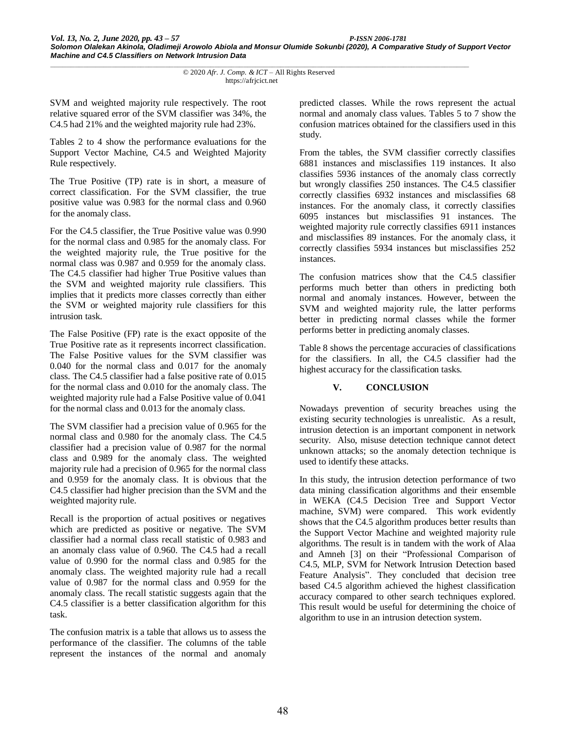SVM and weighted majority rule respectively. The root relative squared error of the SVM classifier was 34%, the C4.5 had 21% and the weighted majority rule had 23%.

Tables 2 to 4 show the performance evaluations for the Support Vector Machine, C4.5 and Weighted Majority Rule respectively.

The True Positive (TP) rate is in short, a measure of correct classification. For the SVM classifier, the true positive value was 0.983 for the normal class and 0.960 for the anomaly class.

For the C4.5 classifier, the True Positive value was 0.990 for the normal class and 0.985 for the anomaly class. For the weighted majority rule, the True positive for the normal class was 0.987 and 0.959 for the anomaly class. The C4.5 classifier had higher True Positive values than the SVM and weighted majority rule classifiers. This implies that it predicts more classes correctly than either the SVM or weighted majority rule classifiers for this intrusion task.

The False Positive (FP) rate is the exact opposite of the True Positive rate as it represents incorrect classification. The False Positive values for the SVM classifier was 0.040 for the normal class and 0.017 for the anomaly class. The C4.5 classifier had a false positive rate of 0.015 for the normal class and 0.010 for the anomaly class. The weighted majority rule had a False Positive value of 0.041 for the normal class and 0.013 for the anomaly class.

The SVM classifier had a precision value of 0.965 for the normal class and 0.980 for the anomaly class. The C4.5 classifier had a precision value of 0.987 for the normal class and 0.989 for the anomaly class. The weighted majority rule had a precision of 0.965 for the normal class and 0.959 for the anomaly class. It is obvious that the C4.5 classifier had higher precision than the SVM and the weighted majority rule.

Recall is the proportion of actual positives or negatives which are predicted as positive or negative. The SVM classifier had a normal class recall statistic of 0.983 and an anomaly class value of 0.960. The C4.5 had a recall value of 0.990 for the normal class and 0.985 for the anomaly class. The weighted majority rule had a recall value of 0.987 for the normal class and 0.959 for the anomaly class. The recall statistic suggests again that the C4.5 classifier is a better classification algorithm for this task.

The confusion matrix is a table that allows us to assess the performance of the classifier. The columns of the table represent the instances of the normal and anomaly predicted classes. While the rows represent the actual normal and anomaly class values. Tables 5 to 7 show the confusion matrices obtained for the classifiers used in this study.

From the tables, the SVM classifier correctly classifies 6881 instances and misclassifies 119 instances. It also classifies 5936 instances of the anomaly class correctly but wrongly classifies 250 instances. The C4.5 classifier correctly classifies 6932 instances and misclassifies 68 instances. For the anomaly class, it correctly classifies 6095 instances but misclassifies 91 instances. The weighted majority rule correctly classifies 6911 instances and misclassifies 89 instances. For the anomaly class, it correctly classifies 5934 instances but misclassifies 252 instances.

The confusion matrices show that the C4.5 classifier performs much better than others in predicting both normal and anomaly instances. However, between the SVM and weighted majority rule, the latter performs better in predicting normal classes while the former performs better in predicting anomaly classes.

Table 8 shows the percentage accuracies of classifications for the classifiers. In all, the C4.5 classifier had the highest accuracy for the classification tasks.

### **V. CONCLUSION**

Nowadays prevention of security breaches using the existing security technologies is unrealistic. As a result, intrusion detection is an important component in network security. Also, misuse detection technique cannot detect unknown attacks; so the anomaly detection technique is used to identify these attacks.

In this study, the intrusion detection performance of two data mining classification algorithms and their ensemble in WEKA (C4.5 Decision Tree and Support Vector machine, SVM) were compared. This work evidently shows that the C4.5 algorithm produces better results than the Support Vector Machine and weighted majority rule algorithms. The result is in tandem with the work of Alaa and Amneh [3] on their "Professional Comparison of C4.5, MLP, SVM for Network Intrusion Detection based Feature Analysis". They concluded that decision tree based C4.5 algorithm achieved the highest classification accuracy compared to other search techniques explored. This result would be useful for determining the choice of algorithm to use in an intrusion detection system.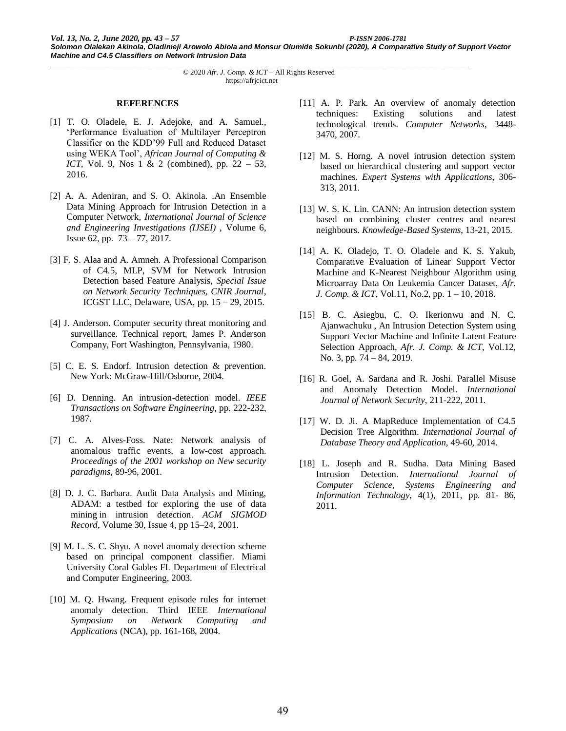#### **REFERENCES**

- [1] T. O. Oladele, E. J. Adejoke, and A. Samuel., 'Performance Evaluation of Multilayer Perceptron Classifier on the KDD'99 Full and Reduced Dataset using WEKA Tool', *African Journal of Computing & ICT*, Vol. 9, Nos 1 & 2 (combined), pp. 22 – 53, 2016.
- [2] A. A. Adeniran, and S. O. Akinola. .An Ensemble Data Mining Approach for Intrusion Detection in a Computer Network, *International Journal of Science and Engineering Investigations (IJSEI)* , Volume 6, Issue 62, pp. 73 – 77, 2017.
- [3] F. S. Alaa and A. Amneh. A Professional Comparison of C4.5, MLP, SVM for Network Intrusion Detection based Feature Analysis, *Special Issue on Network Security Techniques, CNIR Journal*, ICGST LLC, Delaware, USA, pp. 15 – 29, 2015.
- [4] J. Anderson. Computer security threat monitoring and surveillance. Technical report, James P. Anderson Company, Fort Washington, Pennsylvania, 1980.
- [5] C. E. S. Endorf. Intrusion detection & prevention. New York: McGraw-Hill/Osborne, 2004.
- [6] D. Denning. An intrusion-detection model. *IEEE Transactions on Software Engineering*, pp. 222-232, 1987.
- [7] C. A. Alves-Foss. Nate: Network analysis of anomalous traffic events, a low-cost approach. *Proceedings of the 2001 workshop on New security paradigms*, 89-96, 2001.
- [8] D. J. C. Barbara. Audit Data Analysis and Mining, ADAM: a testbed for exploring the use of data mining in intrusion detection. *ACM SIGMOD Record*[, Volume 30, Issue 4,](https://dl.acm.org/toc/sigmod/2001/30/4) pp 15–24, 2001.
- [9] M. L. S. C. Shyu. A novel anomaly detection scheme based on principal component classifier. Miami University Coral Gables FL Department of Electrical and Computer Engineering, 2003.
- [10] M. Q. Hwang. Frequent episode rules for internet anomaly detection. Third IEEE *International Symposium on Network Computing and Applications* (NCA), pp. 161-168, 2004.
- [11] A. P. Park. An overview of anomaly detection techniques: Existing solutions and latest technological trends. *Computer Networks*, 3448- 3470, 2007.
- [12] M. S. Horng. A novel intrusion detection system based on hierarchical clustering and support vector machines. *Expert Systems with Applications*, 306- 313, 2011.
- [13] W. S. K. Lin. CANN: An intrusion detection system based on combining cluster centres and nearest neighbours. *Knowledge-Based Systems*, 13-21, 2015.
- [14] A. K. Oladejo, T. O. Oladele and K. S. Yakub, Comparative Evaluation of Linear Support Vector Machine and K-Nearest Neighbour Algorithm using Microarray Data On Leukemia Cancer Dataset, *Afr. J. Comp. & ICT*, Vol.11, No.2, pp. 1 – 10, 2018.
- [15] B. C. Asiegbu, C. O. Ikerionwu and N. C. Ajanwachuku , An Intrusion Detection System using Support Vector Machine and Infinite Latent Feature Selection Approach, *Afr. J. Comp. & ICT*, Vol.12, No. 3, pp. 74 – 84, 2019.
- [16] R. Goel, A. Sardana and R. Joshi. Parallel Misuse and Anomaly Detection Model. *International Journal of Network Security*, 211-222, 2011.
- [17] W. D. Ji. A MapReduce Implementation of C4.5 Decision Tree Algorithm. *International Journal of Database Theory and Application*, 49-60, 2014.
- [18] L. Joseph and R. Sudha. Data Mining Based Intrusion Detection. *International Journal of Computer Science, Systems Engineering and Information Technology*, 4(1), 2011, pp. 81- 86, 2011.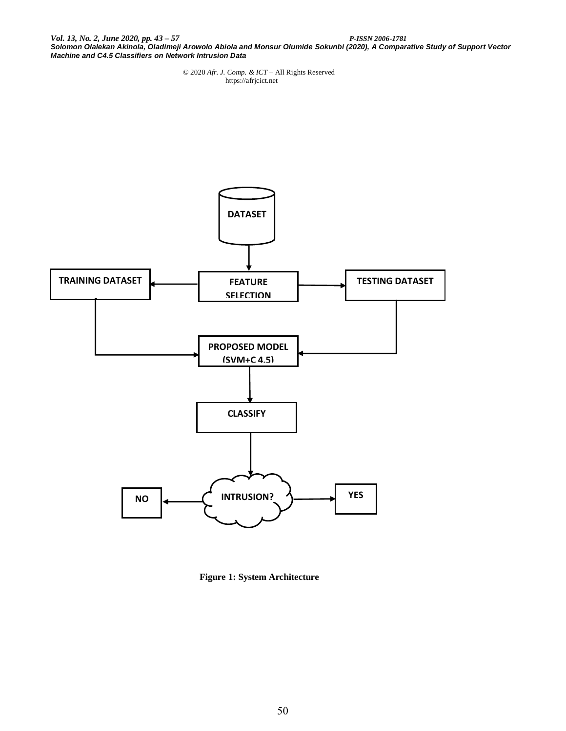*Vol. 13, No. 2, June 2020, pp. 43 – 57 P-ISSN 2006-1781 Solomon Olalekan Akinola, Oladimeji Arowolo Abiola and Monsur Olumide Sokunbi (2020), A Comparative Study of Support Vector Machine and C4.5 Classifiers on Network Intrusion Data*

*\_\_\_\_\_\_\_\_\_\_\_\_\_\_\_\_\_\_\_\_\_\_\_\_\_\_\_\_\_\_\_\_\_\_\_\_\_\_\_\_\_\_\_\_\_\_\_\_\_\_\_\_\_\_\_\_\_\_\_\_\_\_\_\_\_\_\_\_\_\_\_\_\_\_\_\_\_\_\_\_\_\_\_\_\_\_\_\_\_\_\_\_\_\_\_\_\_\_\_\_\_\_* © 2020 *Afr. J. Comp. & ICT* – All Rights Reserved https://afrjcict.net



**Figure 1: System Architecture**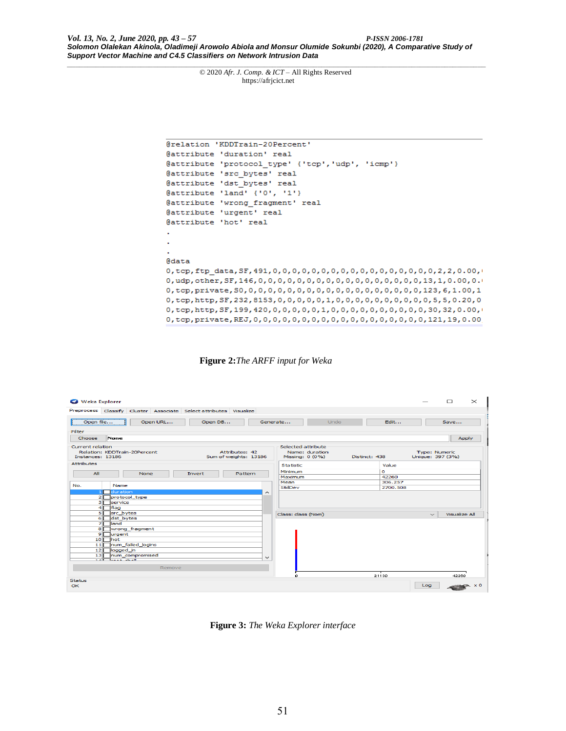*Vol. 13, No. 2, June 2020, pp. 43 – 57 P-ISSN 2006-1781 Solomon Olalekan Akinola, Oladimeji Arowolo Abiola and Monsur Olumide Sokunbi (2020), A Comparative Study of Support Vector Machine and C4.5 Classifiers on Network Intrusion Data*

*\_\_\_\_\_\_\_\_\_\_\_\_\_\_\_\_\_\_\_\_\_\_\_\_\_\_\_\_\_\_\_\_\_\_\_\_\_\_\_\_\_\_\_\_\_\_\_\_\_\_\_\_\_\_\_\_\_\_\_\_\_\_\_\_\_\_\_\_\_\_\_\_\_\_\_\_\_\_\_\_\_\_\_\_\_\_\_\_\_\_\_\_\_\_\_\_\_\_\_\_\_\_* © 2020 *Afr. J. Comp. & ICT* – All Rights Reserved https://afrjcict.net

| @relation 'KDDTrain-20Percent'                                                             |
|--------------------------------------------------------------------------------------------|
| @attribute 'duration' real                                                                 |
| @attribute 'protocol type' {'tcp', 'udp', 'icmp'}                                          |
| @attribute 'src bytes' real                                                                |
| @attribute 'dst bytes' real                                                                |
| $\ell$ attribute 'land' $\{ '0', '1' \}$                                                   |
| @attribute 'wrong fragment' real                                                           |
| @attribute 'urgent' real                                                                   |
| @attribute 'hot' real                                                                      |
|                                                                                            |
|                                                                                            |
|                                                                                            |
| Cdata                                                                                      |
|                                                                                            |
|                                                                                            |
|                                                                                            |
| 0, tcp, http, SF, 232, 8153, 0, 0, 0, 0, 0, 1, 0, 0, 0, 0, 0, 0, 0, 0, 0, 0, 5, 5, 0.20, 0 |
| 0, tcp, http, SF, 199, 420, 0, 0, 0, 0, 0, 1, 0, 0, 0, 0, 0, 0, 0, 0, 0, 30, 32, 0.00,     |
|                                                                                            |

**Figure 2:***The ARFF input for Weka*

| <b>C</b> Weka Explorer               |                                           |          |                                                                   |                                         |              |                    |                                   |               |          |                                          | $\Box$                  | $\times$ |
|--------------------------------------|-------------------------------------------|----------|-------------------------------------------------------------------|-----------------------------------------|--------------|--------------------|-----------------------------------|---------------|----------|------------------------------------------|-------------------------|----------|
|                                      |                                           |          | Preprocess Classify Cluster Associate Select attributes Visualize |                                         |              |                    |                                   |               |          |                                          |                         |          |
| Open file                            |                                           | Open URL | Open DB                                                           |                                         |              | Generate           | Undo                              |               | Edit     |                                          | Save                    |          |
| Filter                               |                                           |          |                                                                   |                                         |              |                    |                                   |               |          |                                          |                         |          |
| Choose                               | None                                      |          |                                                                   |                                         |              |                    |                                   |               |          |                                          | Apply                   |          |
| Current relation<br>Instances: 13186 | Relation: KDDTrain-20Percent              |          |                                                                   | Attributes: 42<br>Sum of weights: 13186 |              | Selected attribute | Name: duration<br>Missing: 0 (0%) | Distinct: 438 |          | <b>Type: Numeric</b><br>Unique: 397 (3%) |                         |          |
| <b>Attributes</b>                    |                                           |          |                                                                   |                                         |              | <b>Statistic</b>   |                                   |               | Value    |                                          |                         |          |
| All                                  |                                           |          |                                                                   |                                         |              | Minimum            |                                   |               | ۰        |                                          |                         |          |
|                                      |                                           | None     | Invert                                                            | Pattern                                 |              | Maximum            |                                   |               | 42260    |                                          |                         |          |
|                                      |                                           |          |                                                                   |                                         |              | Mean               |                                   |               | 306.257  |                                          |                         |          |
| No.                                  | Name                                      |          |                                                                   |                                         |              | StdDev             |                                   |               | 2700.508 |                                          |                         |          |
| $\mathbf{z}$                         | duration<br><b>Iprotocol</b> type         |          |                                                                   |                                         | ∼            |                    |                                   |               |          |                                          |                         |          |
| зі                                   | <b>Iservice</b>                           |          |                                                                   |                                         |              |                    |                                   |               |          |                                          |                         |          |
| 4                                    | flag                                      |          |                                                                   |                                         |              |                    |                                   |               |          |                                          |                         |          |
| 5                                    | <b>Isrc</b> bytes                         |          |                                                                   |                                         |              | Class: class (Nom) |                                   |               |          | $\widetilde{\phantom{a}}$                | <b>Visualize All</b>    |          |
| 61                                   | dst_bytes                                 |          |                                                                   |                                         |              |                    |                                   |               |          |                                          |                         |          |
| 기                                    | <b>lland</b>                              |          |                                                                   |                                         |              |                    |                                   |               |          |                                          |                         |          |
| $\vert$                              | wrong_fragment                            |          |                                                                   |                                         |              |                    |                                   |               |          |                                          |                         |          |
| 9                                    | lurgent                                   |          |                                                                   |                                         |              |                    |                                   |               |          |                                          |                         |          |
| 10 <sup>1</sup>                      | <b>Thot</b>                               |          |                                                                   |                                         |              |                    |                                   |               |          |                                          |                         |          |
| 11                                   | num_failed_logins                         |          |                                                                   |                                         |              |                    |                                   |               |          |                                          |                         |          |
| 12                                   | logged in                                 |          |                                                                   |                                         |              |                    |                                   |               |          |                                          |                         |          |
| 13 <sup>1</sup>                      | num_compromised<br><b>SALE Local Show</b> |          |                                                                   |                                         | $\checkmark$ |                    |                                   |               |          |                                          |                         |          |
|                                      |                                           |          |                                                                   |                                         |              |                    |                                   |               |          |                                          |                         |          |
|                                      |                                           | Remove   |                                                                   |                                         |              |                    |                                   |               |          |                                          |                         |          |
|                                      |                                           |          |                                                                   |                                         |              | O.                 |                                   |               | 21130    |                                          | 42260                   |          |
| <b>Status</b><br>OK                  |                                           |          |                                                                   |                                         |              |                    |                                   |               |          | Log                                      | $\leftarrow$ $\times$ 0 |          |

**Figure 3:** *The Weka Explorer interface*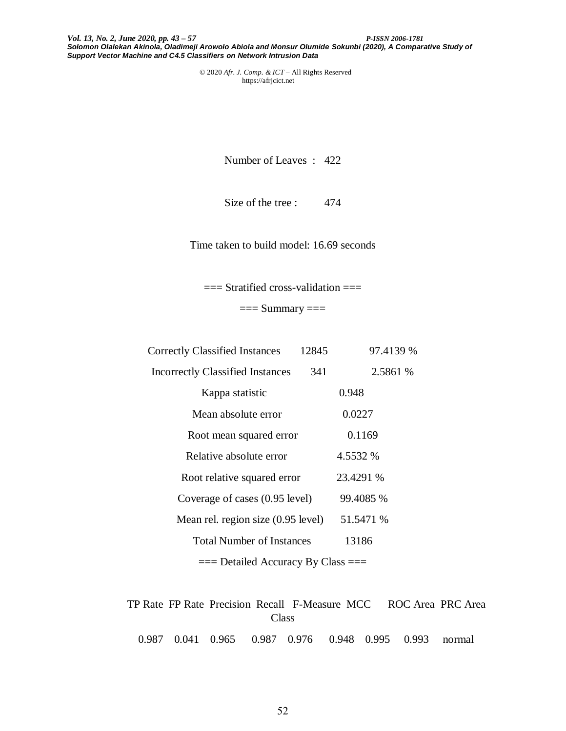*Vol. 13, No. 2, June 2020, pp. 43 – 57 P-ISSN 2006-1781 Solomon Olalekan Akinola, Oladimeji Arowolo Abiola and Monsur Olumide Sokunbi (2020), A Comparative Study of Support Vector Machine and C4.5 Classifiers on Network Intrusion Data*

*\_\_\_\_\_\_\_\_\_\_\_\_\_\_\_\_\_\_\_\_\_\_\_\_\_\_\_\_\_\_\_\_\_\_\_\_\_\_\_\_\_\_\_\_\_\_\_\_\_\_\_\_\_\_\_\_\_\_\_\_\_\_\_\_\_\_\_\_\_\_\_\_\_\_\_\_\_\_\_\_\_\_\_\_\_\_\_\_\_\_\_\_\_\_\_\_\_\_\_\_\_\_* © 2020 *Afr. J. Comp. & ICT* – All Rights Reserved https://afrjcict.net

Number of Leaves : 422

Size of the tree : 474

Time taken to build model: 16.69 seconds

 $==$  Stratified cross-validation  $==$ 

 $==$  Summary  $==$ 

| <b>Correctly Classified Instances</b>   | 12845 | 97.4139 % |  |
|-----------------------------------------|-------|-----------|--|
| <b>Incorrectly Classified Instances</b> | 341   | 2.5861 %  |  |
| Kappa statistic                         |       | 0.948     |  |
| Mean absolute error                     |       | 0.0227    |  |
| Root mean squared error                 |       | 0.1169    |  |
| Relative absolute error                 |       | 4.5532 %  |  |
| Root relative squared error             |       | 23.4291 % |  |
| Coverage of cases (0.95 level)          |       | 99.4085 % |  |
| Mean rel. region size (0.95 level)      |       | 51.5471 % |  |
| <b>Total Number of Instances</b>        |       | 13186     |  |
| $==$ Detailed Accuracy By Class $==$    |       |           |  |

 TP Rate FP Rate Precision Recall F-Measure MCC ROC Area PRC Area Class

0.987 0.041 0.965 0.987 0.976 0.948 0.995 0.993 normal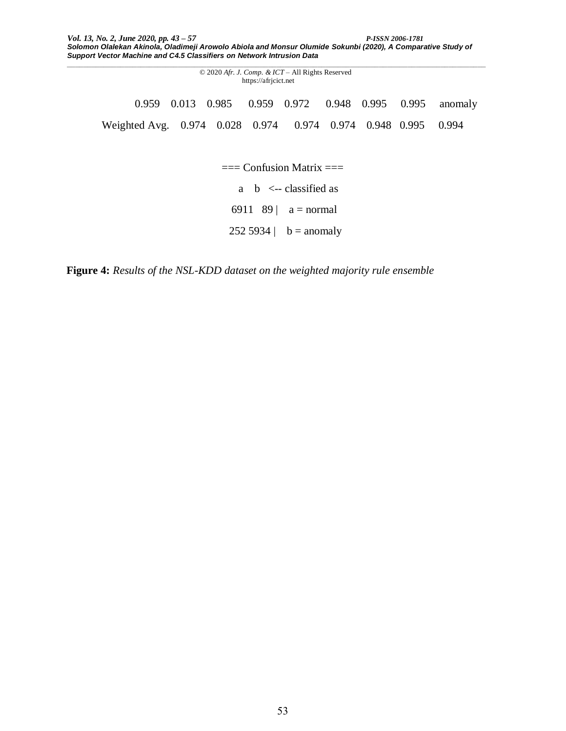*\_\_\_\_\_\_\_\_\_\_\_\_\_\_\_\_\_\_\_\_\_\_\_\_\_\_\_\_\_\_\_\_\_\_\_\_\_\_\_\_\_\_\_\_\_\_\_\_\_\_\_\_\_\_\_\_\_\_\_\_\_\_\_\_\_\_\_\_\_\_\_\_\_\_\_\_\_\_\_\_\_\_\_\_\_\_\_\_\_\_\_\_\_\_\_\_\_\_\_\_\_\_*

© 2020 *Afr. J. Comp. & ICT* – All Rights Reserved https://afrjcict.net 0.959 0.013 0.985 0.959 0.972 0.948 0.995 0.995 anomaly Weighted Avg. 0.974 0.028 0.974 0.974 0.974 0.948 0.995 0.994

 $==$  Confusion Matrix  $==$ 

a b <-- classified as

6911 89 |  $a = normal$ 

252 5934 |  $b =$  anomaly

**Figure 4:** *Results of the NSL-KDD dataset on the weighted majority rule ensemble*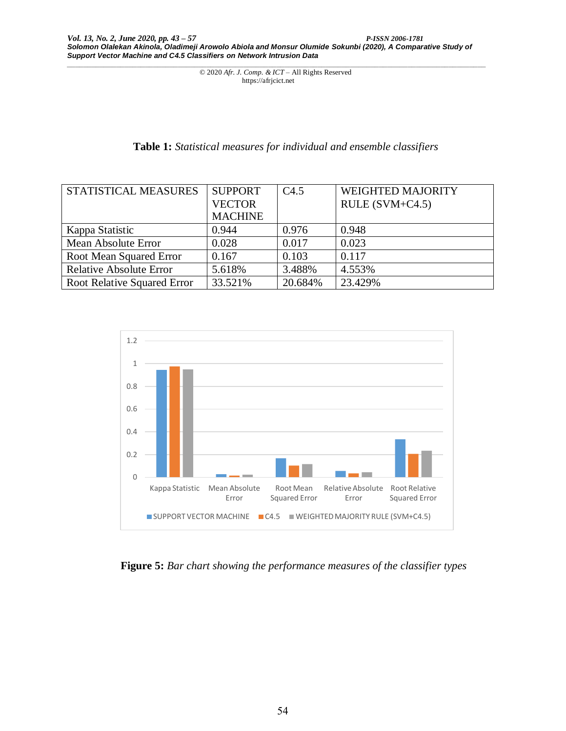## **Table 1:** *Statistical measures for individual and ensemble classifiers*

| STATISTICAL MEASURES           | <b>SUPPORT</b> | C4.5    | <b>WEIGHTED MAJORITY</b> |
|--------------------------------|----------------|---------|--------------------------|
|                                | <b>VECTOR</b>  |         | $RULE (SVM+C4.5)$        |
|                                | <b>MACHINE</b> |         |                          |
| Kappa Statistic                | 0.944          | 0.976   | 0.948                    |
| Mean Absolute Error            | 0.028          | 0.017   | 0.023                    |
| Root Mean Squared Error        | 0.167          | 0.103   | 0.117                    |
| <b>Relative Absolute Error</b> | 5.618%         | 3.488%  | 4.553%                   |
| Root Relative Squared Error    | 33.521%        | 20.684% | 23.429%                  |



**Figure 5:** *Bar chart showing the performance measures of the classifier types*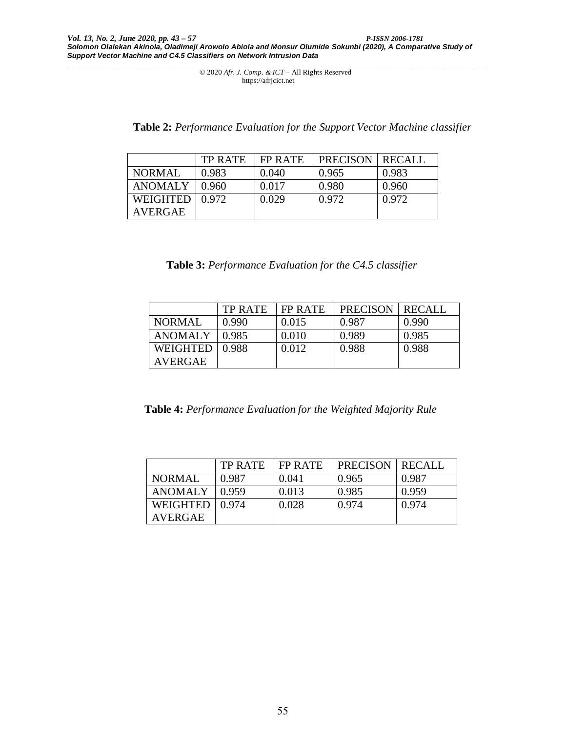| Table 2: Performance Evaluation for the Support Vector Machine classifier |  |  |
|---------------------------------------------------------------------------|--|--|
|                                                                           |  |  |

|                | <b>TP RATE</b> | FP RATE | <b>PRECISON</b> | <b>RECALI</b> |
|----------------|----------------|---------|-----------------|---------------|
| NORMAL         | 0.983          | 0.040   | 0.965           | 0.983         |
| <b>ANOMALY</b> | 0.960          | 0.017   | 0.980           | 0.960         |
| WEIGHTED       | 0.972          | 0.029   | 0.972           | 0.972         |
| <b>AVERGAE</b> |                |         |                 |               |

| Table 3: Performance Evaluation for the C4.5 classifier |  |  |  |
|---------------------------------------------------------|--|--|--|
|---------------------------------------------------------|--|--|--|

|               | TP RATE | FP RATE | <b>PRECISON</b> | RECALL |
|---------------|---------|---------|-----------------|--------|
| <b>NORMAL</b> | 0.990   | 0.015   | 0.987           | 0.990  |
| ANOMALY       | 0.985   | 0.010   | 0.989           | 0.985  |
| WEIGHTED      | 0.988   | 0.012   | 0.988           | 0.988  |
| AVERGAE       |         |         |                 |        |

 **Table 4:** *Performance Evaluation for the Weighted Majority Rule*

|                | <b>TP RATE</b> | FP RATE | <b>PRECISON</b> | RECALL |
|----------------|----------------|---------|-----------------|--------|
| <b>NORMAL</b>  | 0.987          | 0.041   | 0.965           | 0.987  |
| <b>ANOMALY</b> | 0.959          | 0.013   | 0.985           | 0.959  |
| WEIGHTED       | 0.974          | 0.028   | 0.974           | 0.974  |
| AVERGAE        |                |         |                 |        |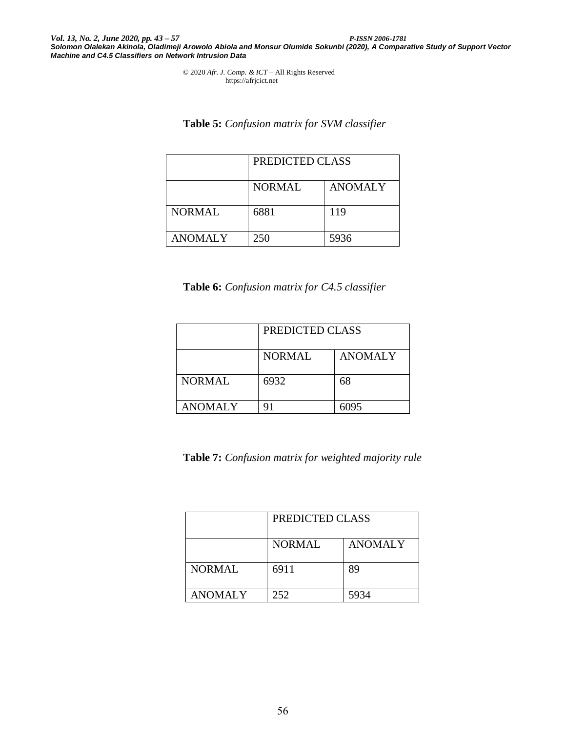# **Table 5:** *Confusion matrix for SVM classifier*

|                | PREDICTED CLASS |                |  |  |  |
|----------------|-----------------|----------------|--|--|--|
|                | <b>NORMAL</b>   | <b>ANOMALY</b> |  |  |  |
| <b>NORMAL</b>  | 6881            | 119            |  |  |  |
| <b>ANOMALY</b> | 250             | 5936           |  |  |  |

# **Table 6:** *Confusion matrix for C4.5 classifier*

|                | PREDICTED CLASS |                |  |  |
|----------------|-----------------|----------------|--|--|
|                | <b>NORMAL</b>   | <b>ANOMALY</b> |  |  |
| <b>NORMAL</b>  | 6932            | 68             |  |  |
| <b>ANOMALY</b> |                 | 6095           |  |  |

**Table 7:** *Confusion matrix for weighted majority rule*

|                | PREDICTED CLASS |                |  |  |
|----------------|-----------------|----------------|--|--|
|                | <b>NORMAL</b>   | <b>ANOMALY</b> |  |  |
| <b>NORMAL</b>  | 6911            | 89             |  |  |
| <b>ANOMALY</b> | 252             | 5934           |  |  |